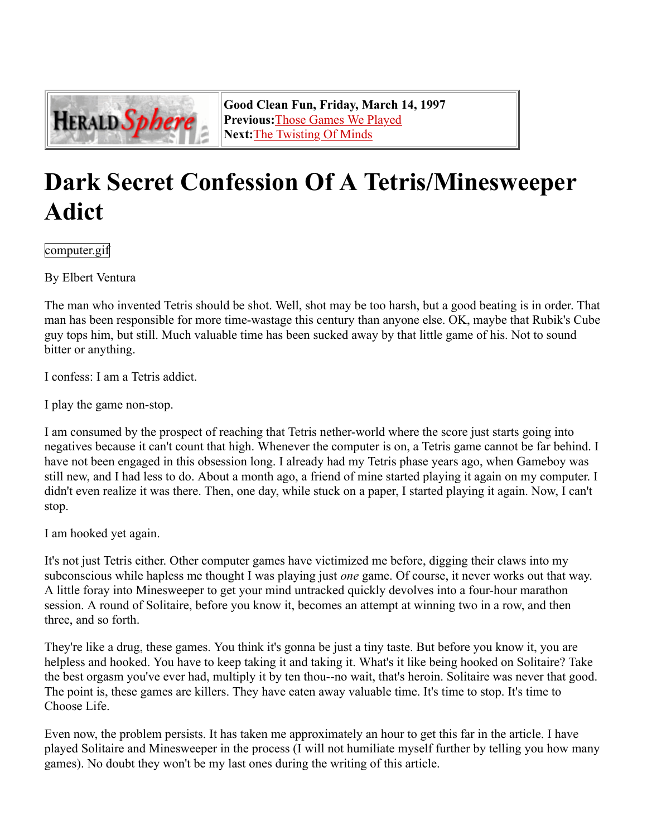

**Good Clean Fun, Friday, March 14, 1997 Previous:**Those Games We Played **Next:**The Twisting Of Minds

## **Dark Secret Confession Of A Tetris/Minesweeper Adict**

computer.gif

By Elbert Ventura

The man who invented Tetris should be shot. Well, shot may be too harsh, but a good beating is in order. That man has been responsible for more time-wastage this century than anyone else. OK, maybe that Rubik's Cube guy tops him, but still. Much valuable time has been sucked away by that little game of his. Not to sound bitter or anything.

I confess: I am a Tetris addict.

I play the game non-stop.

I am consumed by the prospect of reaching that Tetris nether-world where the score just starts going into negatives because it can't count that high. Whenever the computer is on, a Tetris game cannot be far behind. I have not been engaged in this obsession long. I already had my Tetris phase years ago, when Gameboy was still new, and I had less to do. About a month ago, a friend of mine started playing it again on my computer. I didn't even realize it was there. Then, one day, while stuck on a paper, I started playing it again. Now, I can't stop.

I am hooked yet again.

It's not just Tetris either. Other computer games have victimized me before, digging their claws into my subconscious while hapless me thought I was playing just *one* game. Of course, it never works out that way. A little foray into Minesweeper to get your mind untracked quickly devolves into a four-hour marathon session. A round of Solitaire, before you know it, becomes an attempt at winning two in a row, and then three, and so forth.

They're like a drug, these games. You think it's gonna be just a tiny taste. But before you know it, you are helpless and hooked. You have to keep taking it and taking it. What's it like being hooked on Solitaire? Take the best orgasm you've ever had, multiply it by ten thou--no wait, that's heroin. Solitaire was never that good. The point is, these games are killers. They have eaten away valuable time. It's time to stop. It's time to Choose Life.

Even now, the problem persists. It has taken me approximately an hour to get this far in the article. I have played Solitaire and Minesweeper in the process (I will not humiliate myself further by telling you how many games). No doubt they won't be my last ones during the writing of this article.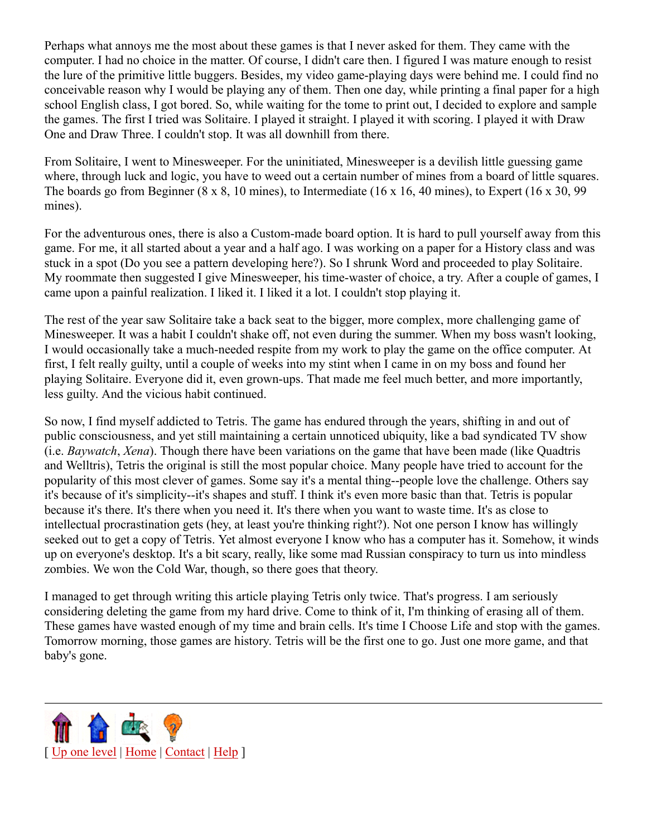Perhaps what annoys me the most about these games is that I never asked for them. They came with the computer. I had no choice in the matter. Of course, I didn't care then. I figured I was mature enough to resist the lure of the primitive little buggers. Besides, my video game-playing days were behind me. I could find no conceivable reason why I would be playing any of them. Then one day, while printing a final paper for a high school English class, I got bored. So, while waiting for the tome to print out, I decided to explore and sample the games. The first I tried was Solitaire. I played it straight. I played it with scoring. I played it with Draw One and Draw Three. I couldn't stop. It was all downhill from there.

From Solitaire, I went to Minesweeper. For the uninitiated, Minesweeper is a devilish little guessing game where, through luck and logic, you have to weed out a certain number of mines from a board of little squares. The boards go from Beginner (8 x 8, 10 mines), to Intermediate (16 x 16, 40 mines), to Expert (16 x 30, 99 mines).

For the adventurous ones, there is also a Custom-made board option. It is hard to pull yourself away from this game. For me, it all started about a year and a half ago. I was working on a paper for a History class and was stuck in a spot (Do you see a pattern developing here?). So I shrunk Word and proceeded to play Solitaire. My roommate then suggested I give Minesweeper, his time-waster of choice, a try. After a couple of games, I came upon a painful realization. I liked it. I liked it a lot. I couldn't stop playing it.

The rest of the year saw Solitaire take a back seat to the bigger, more complex, more challenging game of Minesweeper. It was a habit I couldn't shake off, not even during the summer. When my boss wasn't looking, I would occasionally take a much-needed respite from my work to play the game on the office computer. At first, I felt really guilty, until a couple of weeks into my stint when I came in on my boss and found her playing Solitaire. Everyone did it, even grown-ups. That made me feel much better, and more importantly, less guilty. And the vicious habit continued.

So now, I find myself addicted to Tetris. The game has endured through the years, shifting in and out of public consciousness, and yet still maintaining a certain unnoticed ubiquity, like a bad syndicated TV show (i.e. *Baywatch*, *Xena*). Though there have been variations on the game that have been made (like Quadtris and Welltris), Tetris the original is still the most popular choice. Many people have tried to account for the popularity of this most clever of games. Some say it's a mental thing--people love the challenge. Others say it's because of it's simplicity--it's shapes and stuff. I think it's even more basic than that. Tetris is popular because it's there. It's there when you need it. It's there when you want to waste time. It's as close to intellectual procrastination gets (hey, at least you're thinking right?). Not one person I know has willingly seeked out to get a copy of Tetris. Yet almost everyone I know who has a computer has it. Somehow, it winds up on everyone's desktop. It's a bit scary, really, like some mad Russian conspiracy to turn us into mindless zombies. We won the Cold War, though, so there goes that theory.

I managed to get through writing this article playing Tetris only twice. That's progress. I am seriously considering deleting the game from my hard drive. Come to think of it, I'm thinking of erasing all of them. These games have wasted enough of my time and brain cells. It's time I Choose Life and stop with the games. Tomorrow morning, those games are history. Tetris will be the first one to go. Just one more game, and that baby's gone.